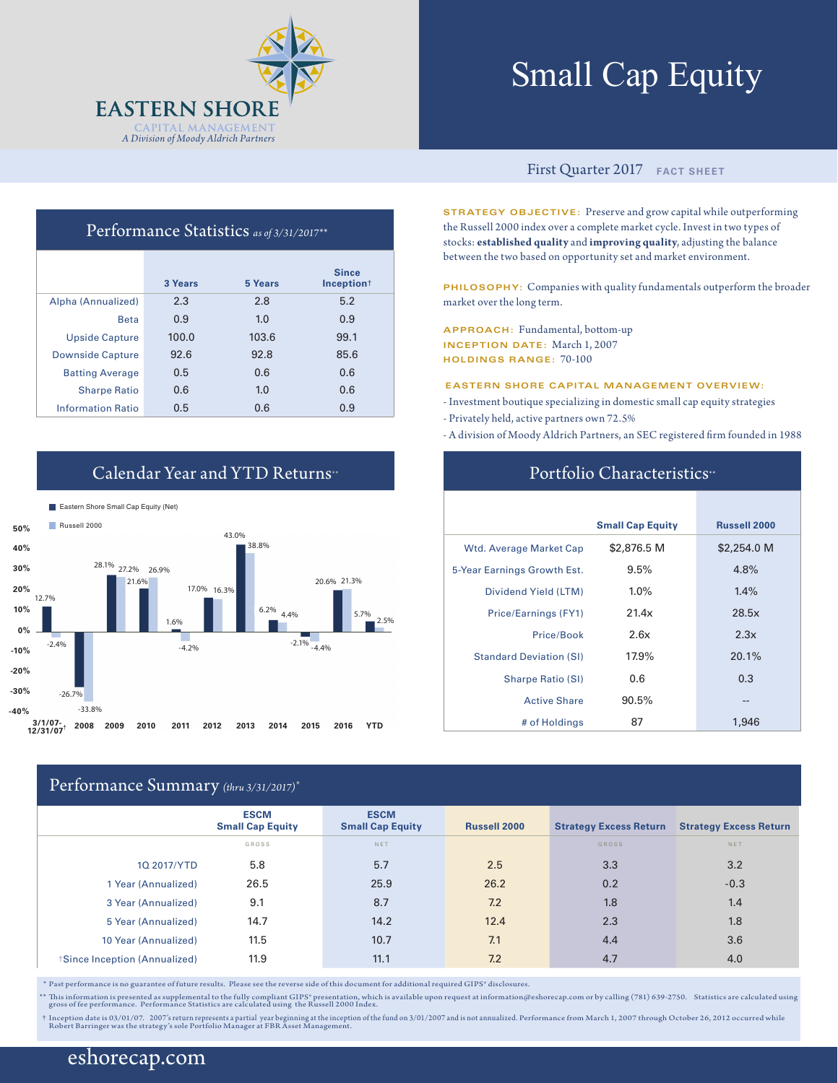

# Small Cap Equity

### First Quarter 2017 **FACT SHEET**

**STRATEGY OBJECTIVE:** Preserve and grow capital while outperforming the Russell 2000 index over a complete market cycle. Invest in two types of stocks: **established quality** and **improving quality**, adjusting the balance between the two based on opportunity set and market environment.

PHILOSOPHY: Companies with quality fundamentals outperform the broader market over the long term.

**APPROACH:** Fundamental, bottom-up **INCEPTION DATE:** March 1, 2007 **HOLDINGS RANGE:** 70-100

**EASTERN SHORE CAPITAL MANAGEMENT OVERVIEW:**

- Investment boutique specializing in domestic small cap equity strategies
- Privately held, active partners own 72.5%
- A division of Moody Aldrich Partners, an SEC registered firm founded in 1988

### Portfolio Characteristics<sup>\*\*</sup>

|                                | <b>Small Cap Equity</b> | <b>Russell 2000</b> |
|--------------------------------|-------------------------|---------------------|
| <b>Wtd. Average Market Cap</b> | \$2,876.5 M             | \$2,254.0 M         |
| 5-Year Earnings Growth Est.    | 9.5%                    | 4.8%                |
| Dividend Yield (LTM)           | $1.0\%$                 | $1.4\%$             |
| Price/Earnings (FY1)           | 21.4x                   | 28.5x               |
| Price/Book                     | 2.6x                    | 2.3x                |
| <b>Standard Deviation (SI)</b> | 17.9%                   | 20.1%               |
| <b>Sharpe Ratio (SI)</b>       | 0.6                     | 0.3                 |
| <b>Active Share</b>            | 90.5%                   | --                  |
| # of Holdings                  | 87                      | 1.946               |

## Performance Statistics *as of 3/31/2017\*\**

|                          |         |         | <b>Since</b>           |
|--------------------------|---------|---------|------------------------|
|                          | 3 Years | 5 Years | Inception <sup>+</sup> |
| Alpha (Annualized)       | 2.3     | 2.8     | 5.2                    |
| <b>Beta</b>              | 0.9     | 1.0     | 0.9                    |
| <b>Upside Capture</b>    | 100.0   | 103.6   | 99.1                   |
| <b>Downside Capture</b>  | 92.6    | 92.8    | 85.6                   |
| <b>Batting Average</b>   | 0.5     | 0.6     | 0.6                    |
| <b>Sharpe Ratio</b>      | 0.6     | 1.0     | 0.6                    |
| <b>Information Ratio</b> | 0.5     | 0.6     | 0.9                    |

## Calendar Year and YTD Returns<sup>\*\*</sup>

**Eastern Shore Small Cap Equity (Net)** 



### Performance Summary *(thru 3/31/2017)\**

|                              | <b>ESCM</b><br><b>Small Cap Equity</b> | <b>ESCM</b><br><b>Small Cap Equity</b> | <b>Russell 2000</b> | <b>Strategy Excess Return</b> | <b>Strategy Excess Return</b> |
|------------------------------|----------------------------------------|----------------------------------------|---------------------|-------------------------------|-------------------------------|
|                              | GROSS                                  | <b>NET</b>                             |                     | <b>GROSS</b>                  | NET                           |
| 1Q 2017/YTD                  | 5.8                                    | 5.7                                    | 2.5                 | 3.3                           | 3.2                           |
| 1 Year (Annualized)          | 26.5                                   | 25.9                                   | 26.2                | 0.2                           | $-0.3$                        |
| 3 Year (Annualized)          | 9.1                                    | 8.7                                    | 7.2                 | 1.8                           | 1.4                           |
| 5 Year (Annualized)          | 14.7                                   | 14.2                                   | 12.4                | 2.3                           | 1.8                           |
| 10 Year (Annualized)         | 11.5                                   | 10.7                                   | 7.1                 | 4.4                           | 3.6                           |
| Since Inception (Annualized) | 11.9                                   | 11.1                                   | 7.2                 | 4.7                           | 4.0                           |

\* Past performance is no guarantee of future results. Please see the reverse side of this document for additional required GIPS® disclosures.

\*\* This information is presented as supplemental to the fully compliant GIPS" presentation, which is available upon request at information@eshorecap.com or by calling (781) 639-2750. Statistics are calculated using<br>gros

+ Inception date is 03/01/07. 2007's return represents a partial year beginning at the inception of the fund on 3/01/2007 and is not annualized. Performance from March 1, 2007 through October 26, 2012 occurred while<br>Robert